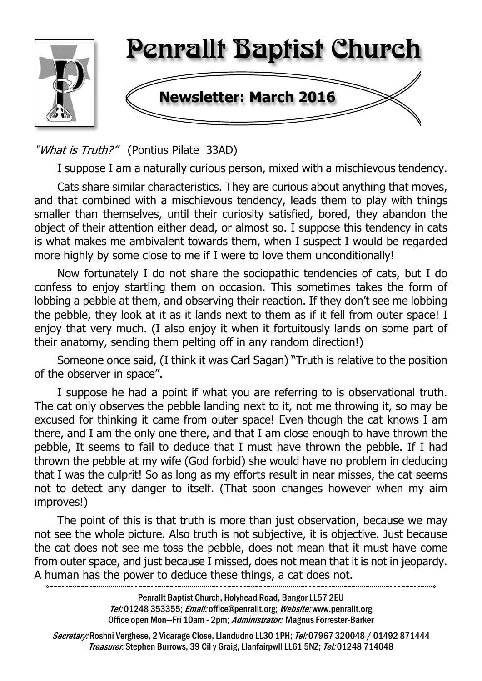

"What is Truth?" (Pontius Pilate 33AD)

I suppose I am a naturally curious person, mixed with a mischievous tendency.

Cats share similar characteristics. They are curious about anything that moves, and that combined with a mischievous tendency, leads them to play with things smaller than themselves, until their curiosity satisfied, bored, they abandon the object of their attention either dead, or almost so. I suppose this tendency in cats is what makes me ambivalent towards them, when I suspect I would be regarded more highly by some close to me if I were to love them unconditionally!

Now fortunately I do not share the sociopathic tendencies of cats, but I do confess to enjoy startling them on occasion. This sometimes takes the form of lobbing a pebble at them, and observing their reaction. If they don't see me lobbing the pebble, they look at it as it lands next to them as if it fell from outer space! I enjoy that very much. (I also enjoy it when it fortuitously lands on some part of their anatomy, sending them pelting off in any random direction!)

Someone once said, (I think it was Carl Sagan) "Truth is relative to the position of the observer in space".

I suppose he had a point if what you are referring to is observational truth. The cat only observes the pebble landing next to it, not me throwing it, so may be excused for thinking it came from outer space! Even though the cat knows I am there, and I am the only one there, and that I am close enough to have thrown the pebble, It seems to fail to deduce that I must have thrown the pebble. If I had thrown the pebble at my wife (God forbid) she would have no problem in deducing that I was the culprit! So as long as my efforts result in near misses, the cat seems not to detect any danger to itself. (That soon changes however when my aim improves!)

The point of this is that truth is more than just observation, because we may not see the whole picture. Also truth is not subjective, it is objective. Just because the cat does not see me toss the pebble, does not mean that it must have come from outer space, and just because I missed, does not mean that it is not in jeopardy. A human has the power to deduce these things, a cat does not.

Penrallt Baptist Church, Holyhead Road, Bangor LL57 2EU Tel:01248 353355; Email: office@penrallt.org; Website: www.penrallt.org Office open Mon-Fri 10am - 2pm: Administrator: Magnus Forrester-Barker

Secretary: Roshni Verghese, 2 Vicarage Close, Llandudno LL30 1PH; Tel: 07967 320048 / 01492 871444 Treasurer: Stephen Burrows, 39 Cil y Graig, Llanfairpwll LL61 5NZ; Tel: 01248 714048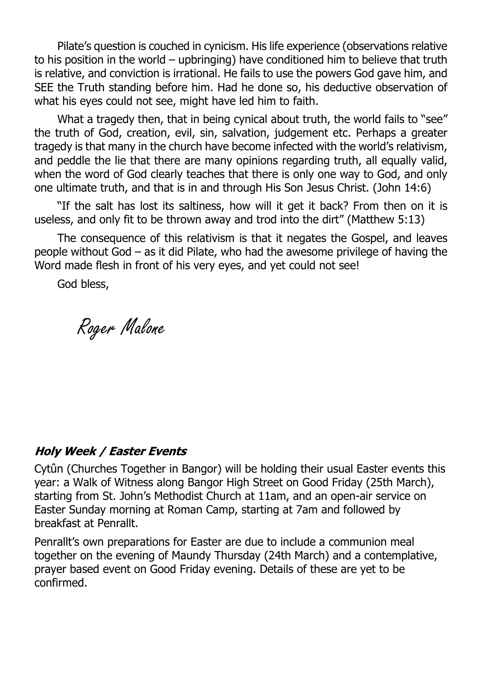Pilate's question is couched in cynicism. His life experience (observations relative to his position in the world – upbringing) have conditioned him to believe that truth is relative, and conviction is irrational. He fails to use the powers God gave him, and SEE the Truth standing before him. Had he done so, his deductive observation of what his eyes could not see, might have led him to faith.

What a tragedy then, that in being cynical about truth, the world fails to "see" the truth of God, creation, evil, sin, salvation, judgement etc. Perhaps a greater tragedy is that many in the church have become infected with the world's relativism, and peddle the lie that there are many opinions regarding truth, all equally valid, when the word of God clearly teaches that there is only one way to God, and only one ultimate truth, and that is in and through His Son Jesus Christ. (John 14:6)

"If the salt has lost its saltiness, how will it get it back? From then on it is useless, and only fit to be thrown away and trod into the dirt" (Matthew 5:13)

The consequence of this relativism is that it negates the Gospel, and leaves people without God – as it did Pilate, who had the awesome privilege of having the Word made flesh in front of his very eyes, and yet could not see!

God bless,

Roger Malone

#### **Holy Week / Easter Events**

Cytûn (Churches Together in Bangor) will be holding their usual Easter events this year: a Walk of Witness along Bangor High Street on Good Friday (25th March), starting from St. John's Methodist Church at 11am, and an open-air service on Easter Sunday morning at Roman Camp, starting at 7am and followed by breakfast at Penrallt.

Penrallt's own preparations for Easter are due to include a communion meal together on the evening of Maundy Thursday (24th March) and a contemplative, prayer based event on Good Friday evening. Details of these are yet to be confirmed.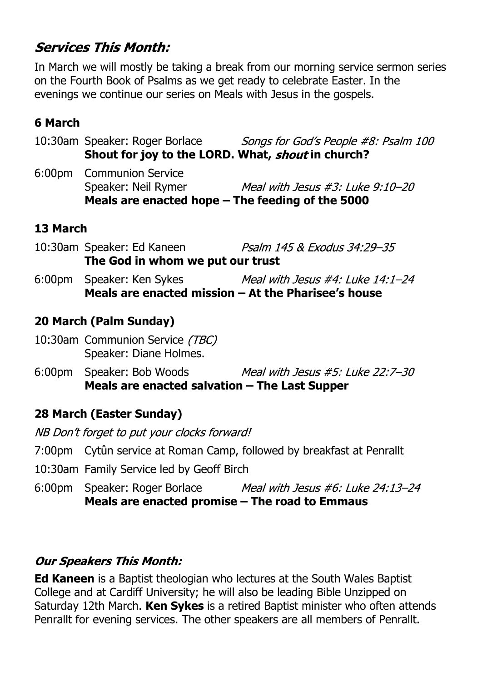# **Services This Month:**

In March we will mostly be taking a break from our morning service sermon series on the Fourth Book of Psalms as we get ready to celebrate Easter. In the evenings we continue our series on Meals with Jesus in the gospels.

# **6 March**

10:30am Speaker: Roger Borlace Songs for God's People #8: Psalm 100 Shout for joy to the LORD. What, *shout* in church?

6:00pm Communion Service Meal with Jesus #3: Luke 9:10-20 Speaker: Neil Rymer **Meals are enacted hope – The feeding of the 5000**

# **13 March**

- 10:30am Speaker: Ed Kaneen Psalm 145 & Exodus 34:29-35 **The God in whom we put our trust**
- 6:00pm Speaker: Ken Sykes Meal with Jesus #4: Luke 14:1-24 **Meals are enacted mission – At the Pharisee's house**

# **20 March (Palm Sunday)**

- 10:30am Communion Service (TBC) Speaker: Diane Holmes.
- 6:00pm Speaker: Bob Woods Meal with Jesus  $#5:$  Luke 22:7-30 **Meals are enacted salvation – The Last Supper**

# **28 March (Easter Sunday)**

NB Don't forget to put your clocks forward!

- 7:00pm Cytûn service at Roman Camp, followed by breakfast at Penrallt
- 10:30am Family Service led by Geoff Birch
- 6:00pm Speaker: Roger Borlace Meal with Jesus #6: Luke 24:13–24 **Meals are enacted promise – The road to Emmaus**

# **Our Speakers This Month:**

**Ed Kaneen** is a Baptist theologian who lectures at the South Wales Baptist College and at Cardiff University; he will also be leading Bible Unzipped on Saturday 12th March. **Ken Sykes** is a retired Baptist minister who often attends Penrallt for evening services. The other speakers are all members of Penrallt.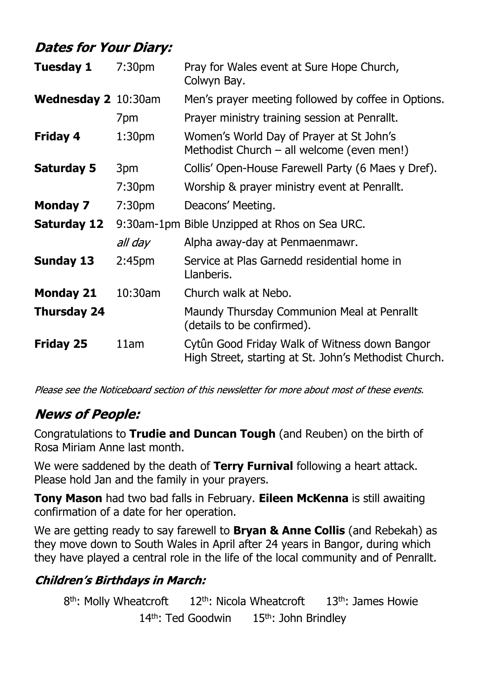# **Dates for Your Diary:**

| <b>Tuesday 1</b>           | 7:30 <sub>pm</sub> | Pray for Wales event at Sure Hope Church,<br>Colwyn Bay.                                               |  |
|----------------------------|--------------------|--------------------------------------------------------------------------------------------------------|--|
| <b>Wednesday 2</b> 10:30am |                    | Men's prayer meeting followed by coffee in Options.                                                    |  |
|                            | 7pm                | Prayer ministry training session at Penrallt.                                                          |  |
| <b>Friday 4</b>            | 1:30 <sub>pm</sub> | Women's World Day of Prayer at St John's<br>Methodist Church - all welcome (even men!)                 |  |
| <b>Saturday 5</b>          | 3pm                | Collis' Open-House Farewell Party (6 Maes y Dref).                                                     |  |
|                            | 7:30 <sub>pm</sub> | Worship & prayer ministry event at Penrallt.                                                           |  |
| <b>Monday 7</b>            | 7:30 <sub>pm</sub> | Deacons' Meeting.                                                                                      |  |
| <b>Saturday 12</b>         |                    | 9:30am-1pm Bible Unzipped at Rhos on Sea URC.                                                          |  |
|                            | all day            | Alpha away-day at Penmaenmawr.                                                                         |  |
| <b>Sunday 13</b>           | 2:45 <sub>pm</sub> | Service at Plas Garnedd residential home in<br>Llanberis.                                              |  |
| <b>Monday 21</b>           | $10:30$ am         | Church walk at Nebo.                                                                                   |  |
| <b>Thursday 24</b>         |                    | Maundy Thursday Communion Meal at Penrallt<br>(details to be confirmed).                               |  |
| <b>Friday 25</b>           | 11am               | Cytûn Good Friday Walk of Witness down Bangor<br>High Street, starting at St. John's Methodist Church. |  |

Please see the Noticeboard section of this newsletter for more about most of these events.

# **News of People:**

Congratulations to **Trudie and Duncan Tough** (and Reuben) on the birth of Rosa Miriam Anne last month.

We were saddened by the death of **Terry Furnival** following a heart attack. Please hold Jan and the family in your prayers.

**Tony Mason** had two bad falls in February. **Eileen McKenna** is still awaiting confirmation of a date for her operation.

We are getting ready to say farewell to **Bryan & Anne Collis** (and Rebekah) as they move down to South Wales in April after 24 years in Bangor, during which they have played a central role in the life of the local community and of Penrallt.

### **Children's Birthdays in March:**

8<sup>th</sup>: Molly Wheatcroft  $12<sup>th</sup>$ : Nicola Wheatcroft  $13<sup>th</sup>$ : James Howie 14<sup>th</sup>: Ted Goodwin 15<sup>th</sup>: John Brindley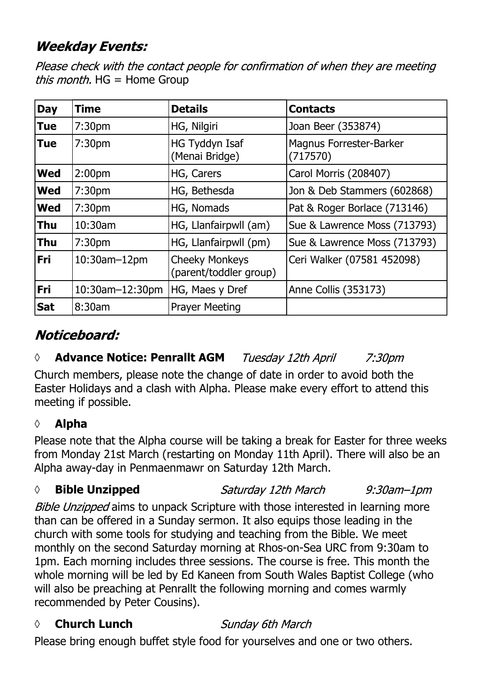# **Weekday Events:**

Please check with the contact people for confirmation of when they are meeting *this month.*  $HG = Home Group$ 

| <b>Day</b> | <b>Time</b>         | <b>Details</b>                                  | <b>Contacts</b>                            |
|------------|---------------------|-------------------------------------------------|--------------------------------------------|
| <b>Tue</b> | 7:30 <sub>pm</sub>  | HG, Nilgiri                                     | Joan Beer (353874)                         |
| <b>Tue</b> | 7:30 <sub>pm</sub>  | HG Tyddyn Isaf<br>(Menai Bridge)                | <b>Magnus Forrester-Barker</b><br>(717570) |
| <b>Wed</b> | 2:00 <sub>pm</sub>  | HG, Carers                                      | Carol Morris (208407)                      |
| <b>Wed</b> | 7:30 <sub>pm</sub>  | HG, Bethesda                                    | Jon & Deb Stammers (602868)                |
| <b>Wed</b> | 7:30pm              | HG, Nomads                                      | Pat & Roger Borlace (713146)               |
| <b>Thu</b> | $10:30$ am          | HG, Llanfairpwll (am)                           | Sue & Lawrence Moss (713793)               |
| <b>Thu</b> | 7:30 <sub>pm</sub>  | HG, Llanfairpwll (pm)                           | Sue & Lawrence Moss (713793)               |
| Fri        | $10:30$ am $-12$ pm | <b>Cheeky Monkeys</b><br>(parent/toddler group) | Ceri Walker (07581 452098)                 |
| <b>Fri</b> | 10:30am-12:30pm     | HG, Maes y Dref                                 | Anne Collis (353173)                       |
| <b>Sat</b> | 8:30am              | <b>Prayer Meeting</b>                           |                                            |

# Noticeboard:

#### *◊* **Advance Notice: Penrallt AGM** Tuesday 12th April 7:30pm

Church members, please note the change of date in order to avoid both the Easter Holidays and a clash with Alpha. Please make every effort to attend this meeting if possible.

## **◊ Alpha**

Please note that the Alpha course will be taking a break for Easter for three weeks from Monday 21st March (restarting on Monday 11th April). There will also be an Alpha away-day in Penmaenmawr on Saturday 12th March.

#### *◊* **Bible Unzipped** Saturday 12th March  $9:30$ am $-1$ pm

Bible Unzipped aims to unpack Scripture with those interested in learning more than can be offered in a Sunday sermon. It also equips those leading in the church with some tools for studying and teaching from the Bible. We meet monthly on the second Saturday morning at Rhos-on-Sea URC from 9:30am to 1pm. Each morning includes three sessions. The course is free. This month the whole morning will be led by Ed Kaneen from South Wales Baptist College (who will also be preaching at Penrallt the following morning and comes warmly recommended by Peter Cousins).

### *◊* **Church Lunch**

### Sunday 6th March

Please bring enough buffet style food for yourselves and one or two others.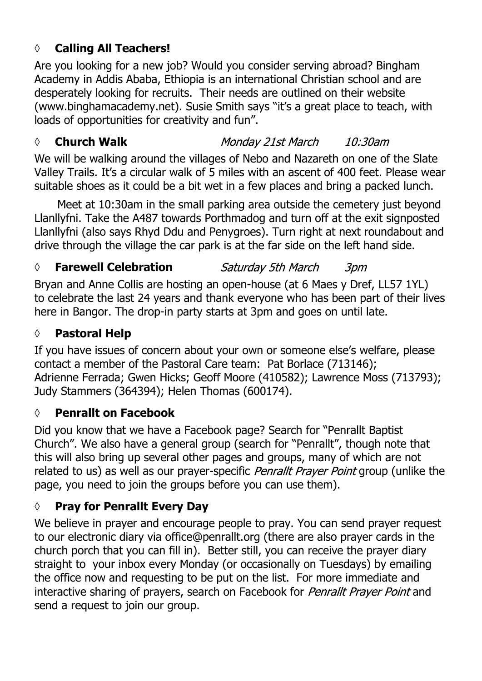## **◊ Calling All Teachers!**

Are you looking for a new job? Would you consider serving abroad? Bingham Academy in Addis Ababa, Ethiopia is an international Christian school and are desperately looking for recruits. Their needs are outlined on their website (www.binghamacademy.net). Susie Smith says "it's a great place to teach, with loads of opportunities for creativity and fun".

#### *◊* **Church Walk** Monday 21st March 10:30am

We will be walking around the villages of Nebo and Nazareth on one of the Slate Valley Trails. It's a circular walk of 5 miles with an ascent of 400 feet. Please wear suitable shoes as it could be a bit wet in a few places and bring a packed lunch.

Meet at 10:30am in the small parking area outside the cemetery just beyond Llanllyfni. Take the A487 towards Porthmadog and turn off at the exit signposted Llanllyfni (also says Rhyd Ddu and Penygroes). Turn right at next roundabout and drive through the village the car park is at the far side on the left hand side.

#### *◊* **Farewell Celebration** Saturday 5th March *3pm*

Bryan and Anne Collis are hosting an open-house (at 6 Maes y Dref, LL57 1YL) to celebrate the last 24 years and thank everyone who has been part of their lives here in Bangor. The drop-in party starts at 3pm and goes on until late.

### **◊ Pastoral Help**

If you have issues of concern about your own or someone else's welfare, please contact a member of the Pastoral Care team: Pat Borlace (713146); Adrienne Ferrada; Gwen Hicks; Geoff Moore (410582); Lawrence Moss (713793); Judy Stammers (364394); Helen Thomas (600174).

### **◊ Penrallt on Facebook**

Did you know that we have a Facebook page? Search for "Penrallt Baptist Church". We also have a general group (search for "Penrallt", though note that this will also bring up several other pages and groups, many of which are not related to us) as well as our prayer-specific *Penrallt Prayer Point* group (unlike the page, you need to join the groups before you can use them).

## **◊ Pray for Penrallt Every Day**

We believe in prayer and encourage people to pray. You can send prayer request to our electronic diary via office@penrallt.org (there are also prayer cards in the church porch that you can fill in). Better still, you can receive the prayer diary straight to your inbox every Monday (or occasionally on Tuesdays) by emailing the office now and requesting to be put on the list. For more immediate and interactive sharing of prayers, search on Facebook for *Penrallt Prayer Point* and send a request to join our group.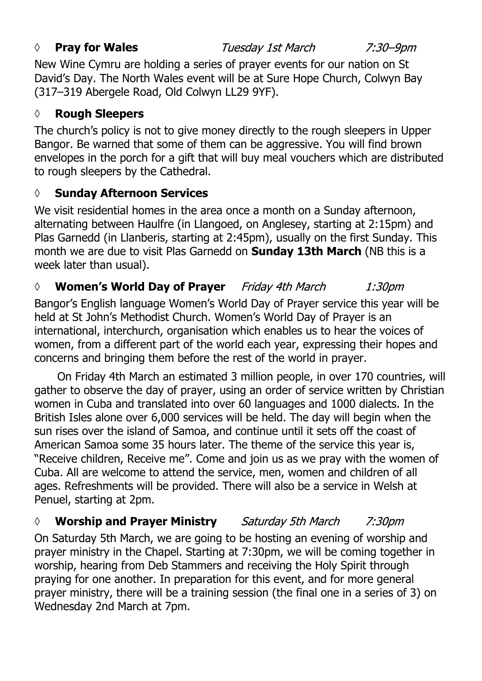#### *◊* **Pray for Wales**

New Wine Cymru are holding a series of prayer events for our nation on St David's Day. The North Wales event will be at Sure Hope Church, Colwyn Bay (317–319 Abergele Road, Old Colwyn LL29 9YF).

# **◊ Rough Sleepers**

The church's policy is not to give money directly to the rough sleepers in Upper Bangor. Be warned that some of them can be aggressive. You will find brown envelopes in the porch for a gift that will buy meal vouchers which are distributed to rough sleepers by the Cathedral.

# **◊ Sunday Afternoon Services**

We visit residential homes in the area once a month on a Sunday afternoon, alternating between Haulfre (in Llangoed, on Anglesey, starting at 2:15pm) and Plas Garnedd (in Llanberis, starting at 2:45pm), usually on the first Sunday. This month we are due to visit Plas Garnedd on **Sunday 13th March** (NB this is a week later than usual).

#### *◊* **Women's World Day of Prayer** Friday 4th March 1:30pm

Bangor's English language Women's World Day of Prayer service this year will be held at St John's Methodist Church. Women's World Day of Prayer is an international, interchurch, organisation which enables us to hear the voices of women, from a different part of the world each year, expressing their hopes and concerns and bringing them before the rest of the world in prayer.

On Friday 4th March an estimated 3 million people, in over 170 countries, will gather to observe the day of prayer, using an order of service written by Christian women in Cuba and translated into over 60 languages and 1000 dialects. In the British Isles alone over 6,000 services will be held. The day will begin when the sun rises over the island of Samoa, and continue until it sets off the coast of American Samoa some 35 hours later. The theme of the service this year is, "Receive children, Receive me". Come and join us as we pray with the women of Cuba. All are welcome to attend the service, men, women and children of all ages. Refreshments will be provided. There will also be a service in Welsh at Penuel, starting at 2pm.

#### *◊* **Worship and Prayer Ministry** Saturday 5th March 7:30*pm*

On Saturday 5th March, we are going to be hosting an evening of worship and prayer ministry in the Chapel. Starting at 7:30pm, we will be coming together in worship, hearing from Deb Stammers and receiving the Holy Spirit through praying for one another. In preparation for this event, and for more general prayer ministry, there will be a training session (the final one in a series of 3) on Wednesday 2nd March at 7pm.

Tuesday 1st March